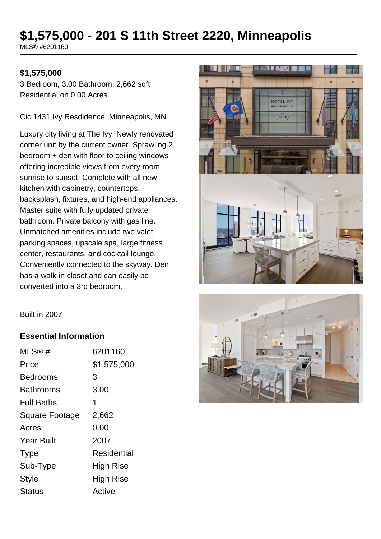# **\$1,575,000 - 201 S 11th Street 2220, Minneapolis**

MLS® #6201160

#### **\$1,575,000**

3 Bedroom, 3.00 Bathroom, 2,662 sqft Residential on 0.00 Acres

Cic 1431 Ivy Resdidence, Minneapolis, MN

Luxury city living at The Ivy! Newly renovated corner unit by the current owner. Sprawling 2 bedroom + den with floor to ceiling windows offering incredible views from every room sunrise to sunset. Complete with all new kitchen with cabinetry, countertops, backsplash, fixtures, and high-end appliances. Master suite with fully updated private bathroom. Private balcony with gas line. Unmatched amenities include two valet parking spaces, upscale spa, large fitness center, restaurants, and cocktail lounge. Conveniently connected to the skyway. Den has a walk-in closet and can easily be converted into a 3rd bedroom.





#### **Essential Information**

| MLS@#                 | 6201160     |
|-----------------------|-------------|
| Price                 | \$1,575,000 |
| Bedrooms              | 3           |
| Bathrooms             | 3.00        |
| <b>Full Baths</b>     | 1           |
| <b>Square Footage</b> | 2,662       |
| Acres                 | 0.00        |
| <b>Year Built</b>     | 2007        |
| <b>Type</b>           | Residential |
| Sub-Type              | High Rise   |
| <b>Style</b>          | High Rise   |
| <b>Status</b>         | Active      |
|                       |             |

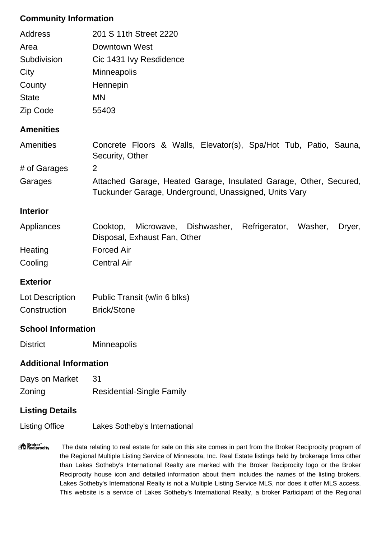### **Community Information**

| Address                       | 201 S 11th Street 2220                                                                                                     |
|-------------------------------|----------------------------------------------------------------------------------------------------------------------------|
| Area                          | <b>Downtown West</b>                                                                                                       |
| Subdivision                   | Cic 1431 Ivy Resdidence                                                                                                    |
| City                          | <b>Minneapolis</b>                                                                                                         |
| County                        | Hennepin                                                                                                                   |
| <b>State</b>                  | <b>MN</b>                                                                                                                  |
| Zip Code                      | 55403                                                                                                                      |
| <b>Amenities</b>              |                                                                                                                            |
| Amenities                     | Concrete Floors & Walls, Elevator(s), Spa/Hot Tub, Patio, Sauna,<br>Security, Other                                        |
| # of Garages                  | $\overline{2}$                                                                                                             |
| Garages                       | Attached Garage, Heated Garage, Insulated Garage, Other, Secured,<br>Tuckunder Garage, Underground, Unassigned, Units Vary |
| <b>Interior</b>               |                                                                                                                            |
| Appliances                    | Microwave, Dishwasher, Refrigerator,<br>Cooktop,<br>Washer,<br>Dryer,<br>Disposal, Exhaust Fan, Other                      |
| Heating                       | <b>Forced Air</b>                                                                                                          |
| Cooling                       | <b>Central Air</b>                                                                                                         |
| <b>Exterior</b>               |                                                                                                                            |
| Lot Description               | Public Transit (w/in 6 blks)                                                                                               |
| Construction                  | <b>Brick/Stone</b>                                                                                                         |
| <b>School Information</b>     |                                                                                                                            |
| <b>District</b>               | Minneapolis                                                                                                                |
| <b>Additional Information</b> |                                                                                                                            |
| Days on Market                | 31                                                                                                                         |
| Zoning                        | <b>Residential-Single Family</b>                                                                                           |

## **Listing Details**

Listing Office Lakes Sotheby's International

"<sup>A</sup> Broker"<br>"I Reciprocity The data relating to real estate for sale on this site comes in part from the Broker Reciprocity program of the Regional Multiple Listing Service of Minnesota, Inc. Real Estate listings held by brokerage firms other than Lakes Sotheby's International Realty are marked with the Broker Reciprocity logo or the Broker Reciprocity house icon and detailed information about them includes the names of the listing brokers. Lakes Sotheby's International Realty is not a Multiple Listing Service MLS, nor does it offer MLS access. This website is a service of Lakes Sotheby's International Realty, a broker Participant of the Regional